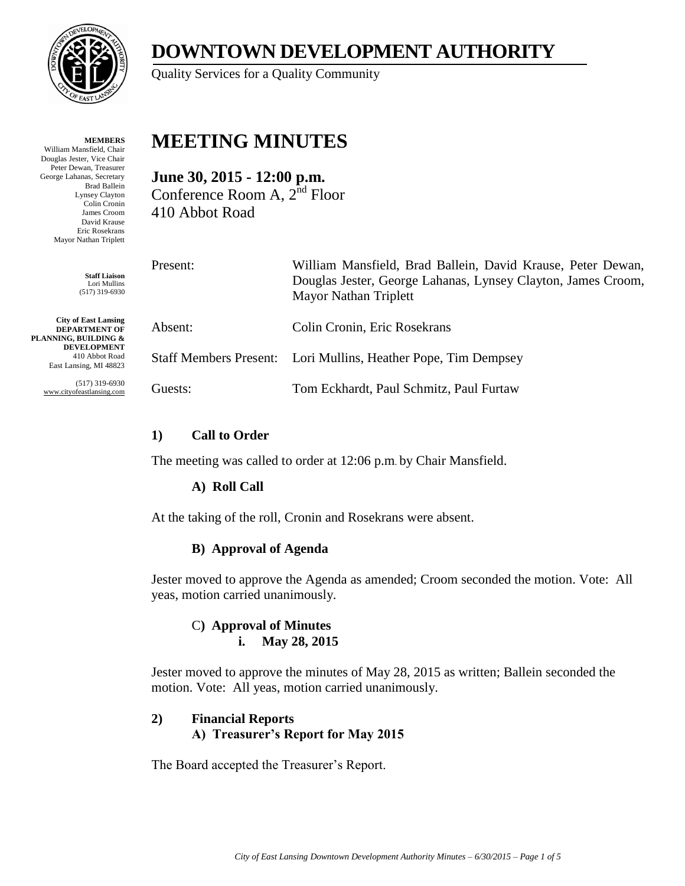

**MEMBERS** William Mansfield, Chair Douglas Jester, Vice Chair Peter Dewan, Treasurer George Lahanas, Secretary Brad Ballein Lynsey Clayton Colin Cronin James Croom David Krause Eric Rosekrans Mayor Nathan Triplett

> **Staff Liaison** Lori Mullins (517) 319-6930

**City of East Lansing DEPARTMENT OF PLANNING, BUILDING & DEVELOPMENT** 410 Abbot Road East Lansing, MI 48823

> (517) 319-6930 www.cityofeastlansing.com

# **DOWNTOWN DEVELOPMENT AUTHORITY**

Quality Services for a Quality Community

# **MEETING MINUTES**

**June 30, 2015 - 12:00 p.m.** Conference Room A,  $2^{\overline{n}d}$  Floor 410 Abbot Road

| Present: | William Mansfield, Brad Ballein, David Krause, Peter Dewan,<br>Douglas Jester, George Lahanas, Lynsey Clayton, James Croom,<br><b>Mayor Nathan Triplett</b> |
|----------|-------------------------------------------------------------------------------------------------------------------------------------------------------------|
| Absent:  | Colin Cronin, Eric Rosekrans                                                                                                                                |
|          | Staff Members Present: Lori Mullins, Heather Pope, Tim Dempsey                                                                                              |
| Guests:  | Tom Eckhardt, Paul Schmitz, Paul Furtaw                                                                                                                     |

# **1) Call to Order**

The meeting was called to order at 12:06 p.m. by Chair Mansfield.

# **A) Roll Call**

At the taking of the roll, Cronin and Rosekrans were absent.

# **B) Approval of Agenda**

Jester moved to approve the Agenda as amended; Croom seconded the motion. Vote: All yeas, motion carried unanimously.

#### C**) Approval of Minutes i. May 28, 2015**

Jester moved to approve the minutes of May 28, 2015 as written; Ballein seconded the motion. Vote: All yeas, motion carried unanimously.

# **2) Financial Reports A) Treasurer's Report for May 2015**

The Board accepted the Treasurer's Report.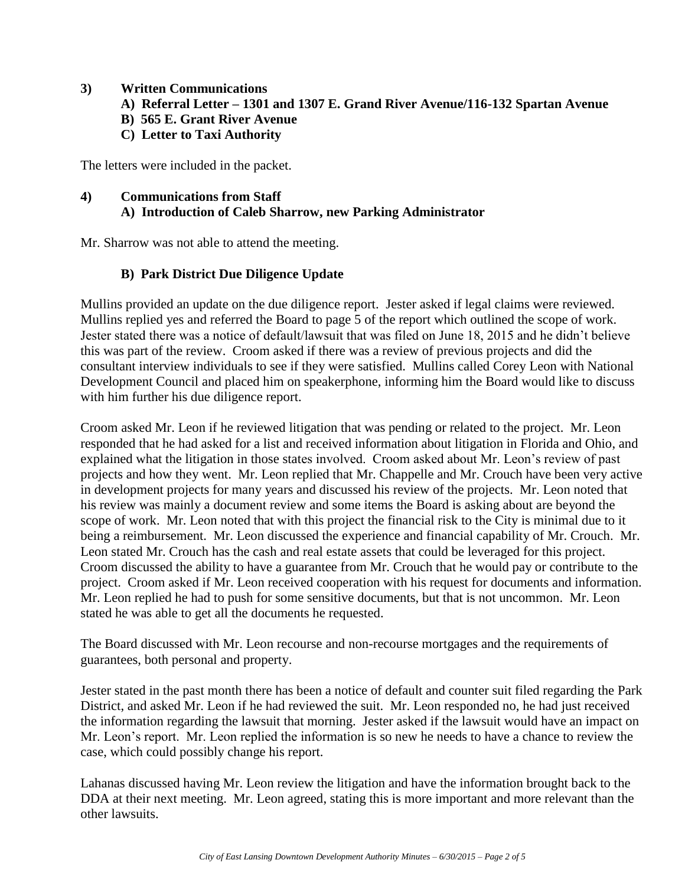- **3) Written Communications** 
	- **A) Referral Letter – 1301 and 1307 E. Grand River Avenue/116-132 Spartan Avenue**
	- **B) 565 E. Grant River Avenue**
	- **C) Letter to Taxi Authority**

The letters were included in the packet.

#### **4) Communications from Staff A) Introduction of Caleb Sharrow, new Parking Administrator**

Mr. Sharrow was not able to attend the meeting.

#### **B) Park District Due Diligence Update**

Mullins provided an update on the due diligence report. Jester asked if legal claims were reviewed. Mullins replied yes and referred the Board to page 5 of the report which outlined the scope of work. Jester stated there was a notice of default/lawsuit that was filed on June 18, 2015 and he didn't believe this was part of the review. Croom asked if there was a review of previous projects and did the consultant interview individuals to see if they were satisfied. Mullins called Corey Leon with National Development Council and placed him on speakerphone, informing him the Board would like to discuss with him further his due diligence report.

Croom asked Mr. Leon if he reviewed litigation that was pending or related to the project. Mr. Leon responded that he had asked for a list and received information about litigation in Florida and Ohio, and explained what the litigation in those states involved. Croom asked about Mr. Leon's review of past projects and how they went. Mr. Leon replied that Mr. Chappelle and Mr. Crouch have been very active in development projects for many years and discussed his review of the projects. Mr. Leon noted that his review was mainly a document review and some items the Board is asking about are beyond the scope of work. Mr. Leon noted that with this project the financial risk to the City is minimal due to it being a reimbursement. Mr. Leon discussed the experience and financial capability of Mr. Crouch. Mr. Leon stated Mr. Crouch has the cash and real estate assets that could be leveraged for this project. Croom discussed the ability to have a guarantee from Mr. Crouch that he would pay or contribute to the project. Croom asked if Mr. Leon received cooperation with his request for documents and information. Mr. Leon replied he had to push for some sensitive documents, but that is not uncommon. Mr. Leon stated he was able to get all the documents he requested.

The Board discussed with Mr. Leon recourse and non-recourse mortgages and the requirements of guarantees, both personal and property.

Jester stated in the past month there has been a notice of default and counter suit filed regarding the Park District, and asked Mr. Leon if he had reviewed the suit. Mr. Leon responded no, he had just received the information regarding the lawsuit that morning. Jester asked if the lawsuit would have an impact on Mr. Leon's report. Mr. Leon replied the information is so new he needs to have a chance to review the case, which could possibly change his report.

Lahanas discussed having Mr. Leon review the litigation and have the information brought back to the DDA at their next meeting. Mr. Leon agreed, stating this is more important and more relevant than the other lawsuits.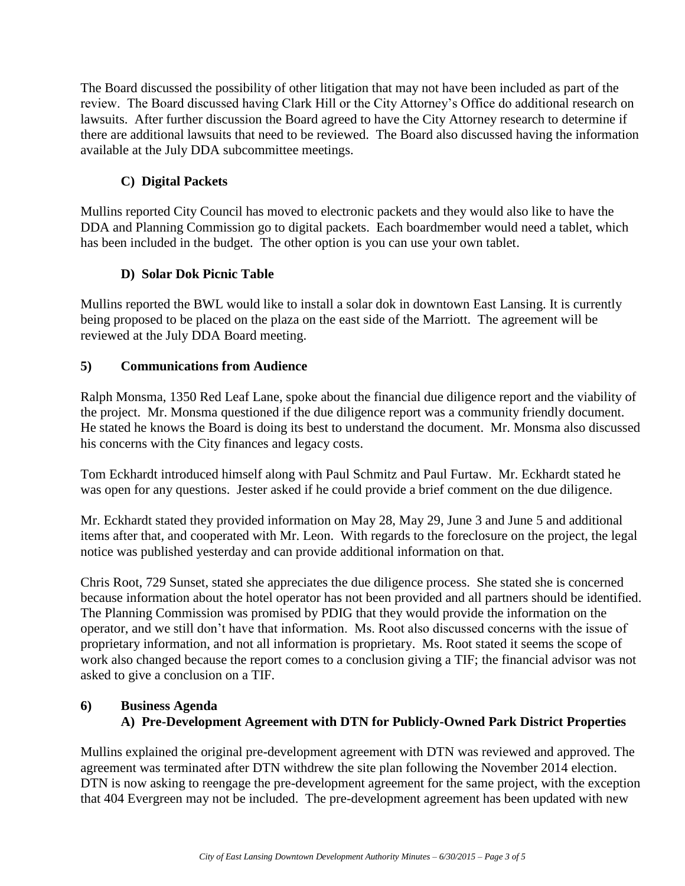The Board discussed the possibility of other litigation that may not have been included as part of the review. The Board discussed having Clark Hill or the City Attorney's Office do additional research on lawsuits. After further discussion the Board agreed to have the City Attorney research to determine if there are additional lawsuits that need to be reviewed. The Board also discussed having the information available at the July DDA subcommittee meetings.

# **C) Digital Packets**

Mullins reported City Council has moved to electronic packets and they would also like to have the DDA and Planning Commission go to digital packets. Each boardmember would need a tablet, which has been included in the budget. The other option is you can use your own tablet.

# **D) Solar Dok Picnic Table**

Mullins reported the BWL would like to install a solar dok in downtown East Lansing. It is currently being proposed to be placed on the plaza on the east side of the Marriott. The agreement will be reviewed at the July DDA Board meeting.

# **5) Communications from Audience**

Ralph Monsma, 1350 Red Leaf Lane, spoke about the financial due diligence report and the viability of the project. Mr. Monsma questioned if the due diligence report was a community friendly document. He stated he knows the Board is doing its best to understand the document. Mr. Monsma also discussed his concerns with the City finances and legacy costs.

Tom Eckhardt introduced himself along with Paul Schmitz and Paul Furtaw. Mr. Eckhardt stated he was open for any questions. Jester asked if he could provide a brief comment on the due diligence.

Mr. Eckhardt stated they provided information on May 28, May 29, June 3 and June 5 and additional items after that, and cooperated with Mr. Leon. With regards to the foreclosure on the project, the legal notice was published yesterday and can provide additional information on that.

Chris Root, 729 Sunset, stated she appreciates the due diligence process. She stated she is concerned because information about the hotel operator has not been provided and all partners should be identified. The Planning Commission was promised by PDIG that they would provide the information on the operator, and we still don't have that information. Ms. Root also discussed concerns with the issue of proprietary information, and not all information is proprietary. Ms. Root stated it seems the scope of work also changed because the report comes to a conclusion giving a TIF; the financial advisor was not asked to give a conclusion on a TIF.

#### **6) Business Agenda**

#### **A) Pre-Development Agreement with DTN for Publicly-Owned Park District Properties**

Mullins explained the original pre-development agreement with DTN was reviewed and approved. The agreement was terminated after DTN withdrew the site plan following the November 2014 election. DTN is now asking to reengage the pre-development agreement for the same project, with the exception that 404 Evergreen may not be included. The pre-development agreement has been updated with new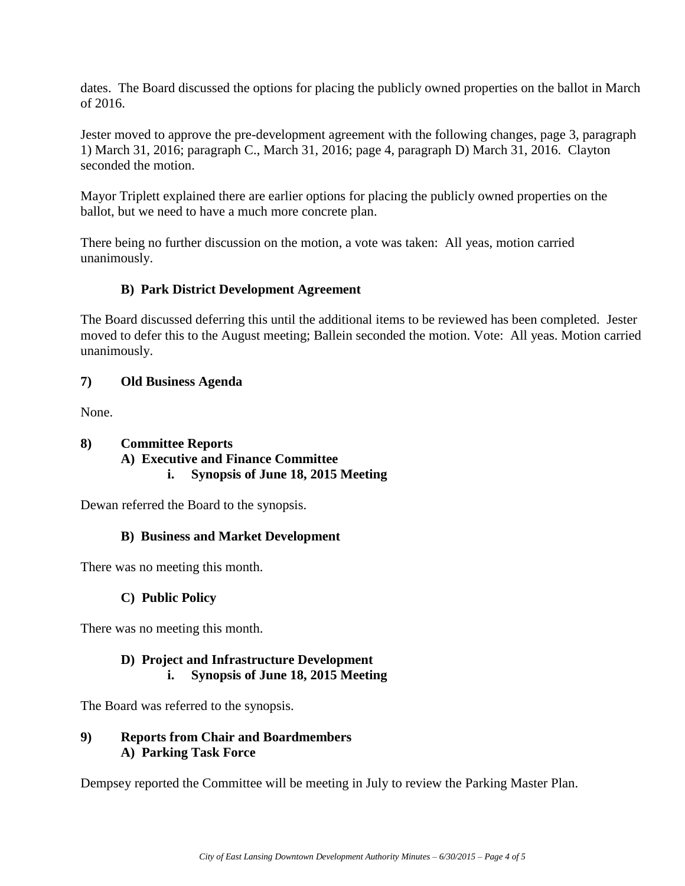dates. The Board discussed the options for placing the publicly owned properties on the ballot in March of 2016.

Jester moved to approve the pre-development agreement with the following changes, page 3, paragraph 1) March 31, 2016; paragraph C., March 31, 2016; page 4, paragraph D) March 31, 2016. Clayton seconded the motion.

Mayor Triplett explained there are earlier options for placing the publicly owned properties on the ballot, but we need to have a much more concrete plan.

There being no further discussion on the motion, a vote was taken: All yeas, motion carried unanimously.

# **B) Park District Development Agreement**

The Board discussed deferring this until the additional items to be reviewed has been completed. Jester moved to defer this to the August meeting; Ballein seconded the motion. Vote: All yeas. Motion carried unanimously.

# **7) Old Business Agenda**

None.

# **8) Committee Reports**

**A) Executive and Finance Committee i. Synopsis of June 18, 2015 Meeting**

Dewan referred the Board to the synopsis.

#### **B) Business and Market Development**

There was no meeting this month.

#### **C) Public Policy**

There was no meeting this month.

#### **D) Project and Infrastructure Development i. Synopsis of June 18, 2015 Meeting**

The Board was referred to the synopsis.

#### **9) Reports from Chair and Boardmembers A) Parking Task Force**

Dempsey reported the Committee will be meeting in July to review the Parking Master Plan.